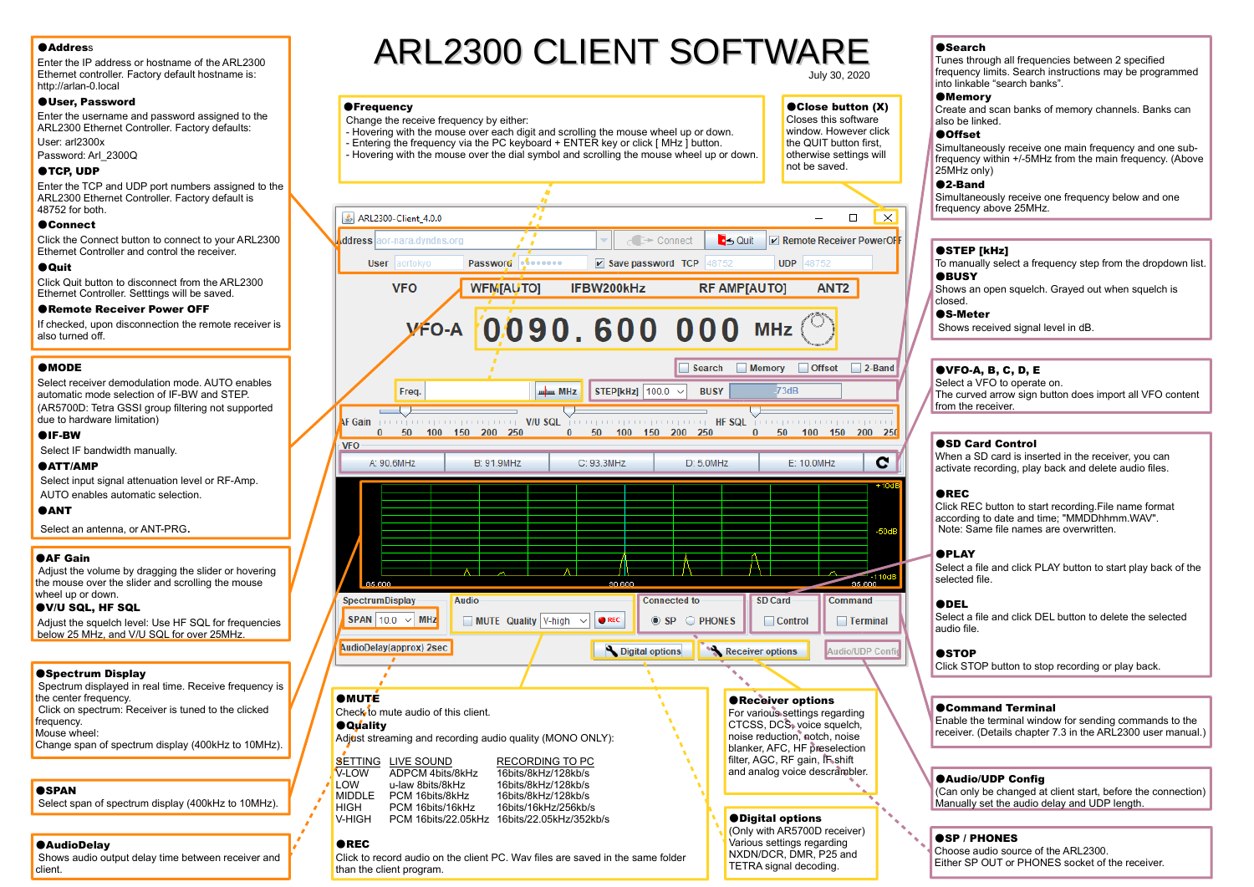## **Address**

 Enter the IP address or hostname of the ARL2300 Ethernet controller. Factory default hostname is: http://arlan-0.local

#### ●User, Password

 Enter the username and password assigned to the ARL2300 Ethernet Controller. Factory defaults:User: arl2300x

**OFrequency** 

Change the receive frequency by either:

Password: Arl\_2300Q

## ●TCP, UDP

 Enter the TCP and UDP port numbers assigned to the ARL2300 Ethernet Controller. Factory default is 48752 for both.

## ●Connect

 Click the Connect button to connect to your ARL2300Ethernet Controller and control the receiver.

## ●Quit

 Click Quit button to disconnect from the ARL2300 Ethernet Controller. Setttings will be saved.

#### ●Remote Receiver Power OFF

 If checked, upon disconnection the remote receiver is also turned off.

## **AMODE**

 Select receiver demodulation mode. AUTO enables automatic mode selection of IF-BW and STEP.(AR5700D: Tetra GSSI group filtering not supported due to hardware limitation)

## ●IF-BW

Select IF bandwidth manually.

#### ●ATT/AMP

 Select input signal attenuation level or RF-Amp.AUTO enables automatic selection.

## **AANT**

Select an antenna, or ANT-PRG.

## **BAF Gain**

 Adjust the volume by dragging the slider or hovering the mouse over the slider and scrolling the mouse wheel up or down.

#### ●V/U SQL, HF SQL

 Adjust the squelch level: Use HF SQL for frequencies below 25 MHz, and V/U SQL for over 25MHz.

## **OSpectrum Display**

 Spectrum displayed in real time. Receive frequency is the center frequency. Click on spectrum: Receiver is tuned to the clicked frequency. Mouse wheel:Change span of spectrum display (400kHz to 10MHz).

## **OSPAN**

Select span of spectrum display (400kHz to 10MHz).

## ●AudioDelay

 Shows audio output delay time between receiver andclient.

# ARL2300 CLIENT SOFTWARE

 - Hovering with the mouse over each digit and scrolling the mouse wheel up or down.- Entering the frequency via the PC keyboard + ENTER key or click [ MHz  $\dot{1}$  button. - Hovering with the mouse over the dial symbol and scrolling the mouse wheel up or down. July 30, 2020

## ●Close button (X)

Closes this software window. However click the QUIT button first. otherwise settings will not be saved.



#### **OSearch**

 Tunes through all frequencies between 2 specified frequency limits. Search instructions may be programmed into linkable "search banks".

## **OMemory**

 Create and scan banks of memory channels. Banks canalso be linked.

## ●Offset

 Simultaneously receive one main frequency and one subfrequency within +/-5MHz from the main frequency. (Above 25MHz only)

## ●2-Band

 Simultaneously receive one frequency below and one frequency above 25MHz.

## ●STEP [kHz]

 To manually select a frequency step from the dropdown list. **ABUSY** 

 Shows an open squelch. Grayed out when squelch is closed.

#### ●S-Meter

Shows received signal level in dB.

## ●VFO-A, B, C, D, E

 Select a VFO to operate on. The curved arrow sign button does import all VFO content from the receiver

## ●SD Card Control

 When a SD card is inserted in the receiver, you canactivate recording, play back and delete audio files.

## ●REC

 Click REC button to start recording.File name format according to date and time; "MMDDhhmm.WAV".Note: Same file names are overwritten.

#### **APLAY**

 Select a file and click PLAY button to start play back of the selected file.

#### ●DEL

 Select a file and click DEL button to delete the selected audio file.

#### **OSTOP**

Click STOP button to stop recording or play back.

## ●Command Terminal

 Enable the terminal window for sending commands to the receiver. (Details chapter 7.3 in the ARL2300 user manual.)

#### ●Audio/UDP Config

 (Can only be changed at client start, before the connection)Manually set the audio delay and UDP length.

## ●SP / PHONES

 Choose audio source of the ARL2300.Either SP OUT or PHONES socket of the receiver.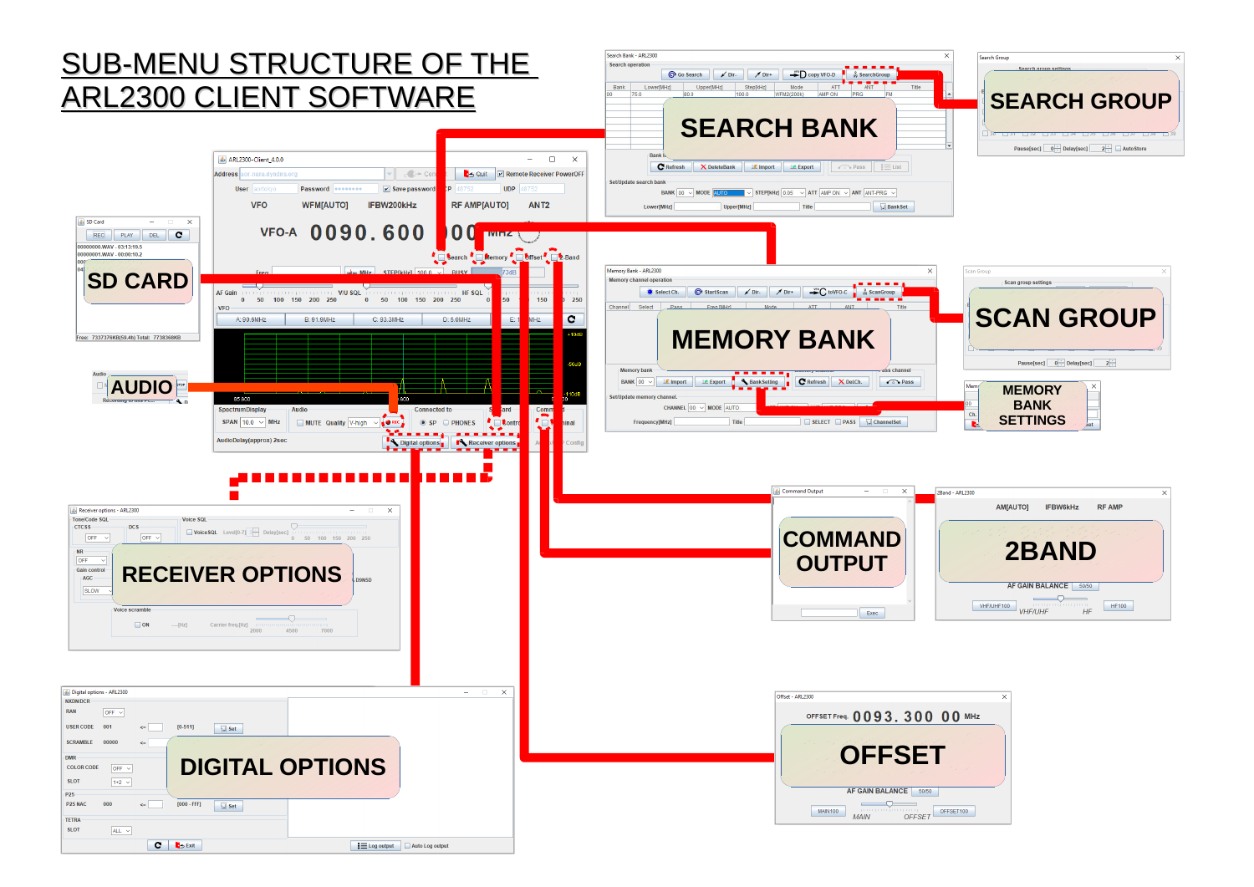